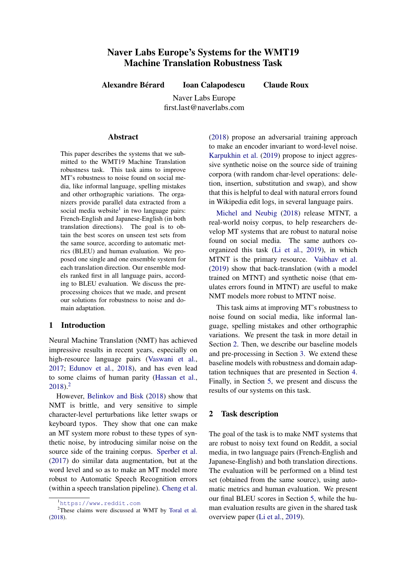# <span id="page-0-1"></span>Naver Labs Europe's Systems for the WMT19 Machine Translation Robustness Task

Alexandre Bérard Ioan Calapodescu Claude Roux

Naver Labs Europe first.last@naverlabs.com

#### Abstract

This paper describes the systems that we submitted to the WMT19 Machine Translation robustness task. This task aims to improve MT's robustness to noise found on social media, like informal language, spelling mistakes and other orthographic variations. The organizers provide parallel data extracted from a social media website<sup>1</sup> in two language pairs: French-English and Japanese-English (in both translation directions). The goal is to obtain the best scores on unseen test sets from the same source, according to automatic metrics (BLEU) and human evaluation. We proposed one single and one ensemble system for each translation direction. Our ensemble models ranked first in all language pairs, according to BLEU evaluation. We discuss the preprocessing choices that we made, and present our solutions for robustness to noise and domain adaptation.

## 1 Introduction

Neural Machine Translation (NMT) has achieved impressive results in recent years, especially on high-resource language pairs [\(Vaswani et al.,](#page-6-0) [2017;](#page-6-0) [Edunov et al.,](#page-6-1) [2018\)](#page-6-1), and has even lead to some claims of human parity [\(Hassan et al.,](#page-6-2) [2018\)](#page-6-2).<sup>2</sup>

However, [Belinkov and Bisk](#page-6-3) [\(2018\)](#page-6-3) show that NMT is brittle, and very sensitive to simple character-level perturbations like letter swaps or keyboard typos. They show that one can make an MT system more robust to these types of synthetic noise, by introducing similar noise on the source side of the training corpus. [Sperber et al.](#page-6-4) [\(2017\)](#page-6-4) do similar data augmentation, but at the word level and so as to make an MT model more robust to Automatic Speech Recognition errors (within a speech translation pipeline). [Cheng et al.](#page-6-5)

[\(2018\)](#page-6-5) propose an adversarial training approach to make an encoder invariant to word-level noise. [Karpukhin et al.](#page-6-7) [\(2019\)](#page-6-7) propose to inject aggressive synthetic noise on the source side of training corpora (with random char-level operations: deletion, insertion, substitution and swap), and show that this is helpful to deal with natural errors found in Wikipedia edit logs, in several language pairs.

[Michel and Neubig](#page-6-8) [\(2018\)](#page-6-8) release MTNT, a real-world noisy corpus, to help researchers develop MT systems that are robust to natural noise found on social media. The same authors coorganized this task [\(Li et al.,](#page-6-9) [2019\)](#page-6-9), in which MTNT is the primary resource. [Vaibhav et al.](#page-6-10) [\(2019\)](#page-6-10) show that back-translation (with a model trained on MTNT) and synthetic noise (that emulates errors found in MTNT) are useful to make NMT models more robust to MTNT noise.

This task aims at improving MT's robustness to noise found on social media, like informal language, spelling mistakes and other orthographic variations. We present the task in more detail in Section [2.](#page-0-0) Then, we describe our baseline models and pre-processing in Section [3.](#page-1-0) We extend these baseline models with robustness and domain adaptation techniques that are presented in Section [4.](#page-3-0) Finally, in Section [5,](#page-5-0) we present and discuss the results of our systems on this task.

## <span id="page-0-0"></span>2 Task description

The goal of the task is to make NMT systems that are robust to noisy text found on Reddit, a social media, in two language pairs (French-English and Japanese-English) and both translation directions. The evaluation will be performed on a blind test set (obtained from the same source), using automatic metrics and human evaluation. We present our final BLEU scores in Section [5,](#page-5-0) while the human evaluation results are given in the shared task overview paper [\(Li et al.,](#page-6-9) [2019\)](#page-6-9).

<sup>1</sup><https://www.reddit.com>

<sup>&</sup>lt;sup>2</sup>These claims were discussed at WMT by [Toral et al.](#page-6-6) [\(2018\)](#page-6-6).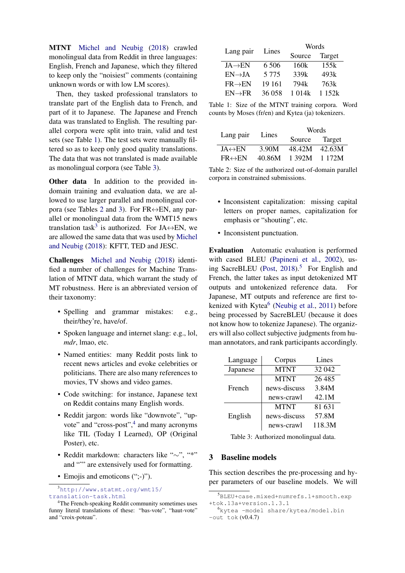MTNT [Michel and Neubig](#page-6-8) [\(2018\)](#page-6-8) crawled monolingual data from Reddit in three languages: English, French and Japanese, which they filtered to keep only the "noisiest" comments (containing unknown words or with low LM scores).

Then, they tasked professional translators to translate part of the English data to French, and part of it to Japanese. The Japanese and French data was translated to English. The resulting parallel corpora were split into train, valid and test sets (see Table [1\)](#page-1-1). The test sets were manually filtered so as to keep only good quality translations. The data that was not translated is made available as monolingual corpora (see Table [3\)](#page-1-2).

Other data In addition to the provided indomain training and evaluation data, we are allowed to use larger parallel and monolingual cor-pora (see Tables [2](#page-1-3) and [3\)](#page-1-2). For  $FR \leftrightarrow EN$ , any parallel or monolingual data from the WMT15 news translation task<sup>[3](#page-0-1)</sup> is authorized. For JA $\leftrightarrow$ EN, we are allowed the same data that was used by [Michel](#page-6-8) [and Neubig](#page-6-8) [\(2018\)](#page-6-8): KFTT, TED and JESC.

Challenges [Michel and Neubig](#page-6-8) [\(2018\)](#page-6-8) identified a number of challenges for Machine Translation of MTNT data, which warrant the study of MT robustness. Here is an abbreviated version of their taxonomy:

- Spelling and grammar mistakes: e.g., their/they're, have/of.
- Spoken language and internet slang: e.g., lol, *mdr*, lmao, etc.
- Named entities: many Reddit posts link to recent news articles and evoke celebrities or politicians. There are also many references to movies, TV shows and video games.
- Code switching: for instance, Japanese text on Reddit contains many English words.
- Reddit jargon: words like "downvote", "up-vote" and "cross-post",<sup>[4](#page-0-1)</sup> and many acronyms like TIL (Today I Learned), OP (Original Poster), etc.
- Reddit markdown: characters like "∼", "\*" and "
" are extensively used for formatting.
- Emojis and emoticons (";-)").

<sup>3</sup>[http://www.statmt.org/wmt15/](http://www.statmt.org/wmt15/translation-task.html) [translation-task.html](http://www.statmt.org/wmt15/translation-task.html)

<span id="page-1-1"></span>

| Lang pair           |         | Words            |        |  |
|---------------------|---------|------------------|--------|--|
|                     | Lines   | Source           | Target |  |
| $JA \rightarrow EN$ | 6 5 0 6 | 160k             | 155k   |  |
| $EN \rightarrow JA$ | 5 7 7 5 | 339k             | 493k   |  |
| $FR \rightarrow EN$ | 19 161  | 794 <sub>k</sub> | 763k   |  |
| $EN \rightarrow FR$ | 36 058  | 1 014k           | 1152k  |  |

Table 1: Size of the MTNT training corpora. Word counts by Moses (fr/en) and Kytea (ja) tokenizers.

<span id="page-1-3"></span>

|                         | Lines  | Words         |        |  |
|-------------------------|--------|---------------|--------|--|
| Lang pair               |        | Source Target |        |  |
| $JA \leftrightarrow EN$ | 3.90M  | 48.42M        | 42.63M |  |
| $FR \leftrightarrow EN$ | 40.86M | 1 392M 1 172M |        |  |

Table 2: Size of the authorized out-of-domain parallel corpora in constrained submissions.

- Inconsistent capitalization: missing capital letters on proper names, capitalization for emphasis or "shouting", etc.
- Inconsistent punctuation.

Evaluation Automatic evaluation is performed with cased BLEU [\(Papineni et al.,](#page-6-11) [2002\)](#page-6-11), us-ing SacreBLEU [\(Post,](#page-6-12)  $2018$ ).<sup>[5](#page-0-1)</sup> For English and French, the latter takes as input detokenized MT outputs and untokenized reference data. For Japanese, MT outputs and reference are first to-kenized with Kytea<sup>[6](#page-0-1)</sup> [\(Neubig et al.,](#page-6-13) [2011\)](#page-6-13) before being processed by SacreBLEU (because it does not know how to tokenize Japanese). The organizers will also collect subjective judgments from human annotators, and rank participants accordingly.

<span id="page-1-2"></span>

| Language | Corpus       | Lines    |
|----------|--------------|----------|
| Japanese | <b>MTNT</b>  | 32 042   |
|          | <b>MTNT</b>  | 26 4 8 5 |
| French   | news-discuss | 3.84M    |
|          | news-crawl   | 42.1M    |
|          | <b>MTNT</b>  | 81 631   |
| English  | news-discuss | 57.8M    |
|          | news-crawl   | 118.3M   |

Table 3: Authorized monolingual data.

## <span id="page-1-0"></span>3 Baseline models

This section describes the pre-processing and hyper parameters of our baseline models. We will

<sup>4</sup>The French-speaking Reddit community sometimes uses funny literal translations of these: "bas-vote", "haut-vote" and "croix-poteau".

<sup>5</sup>BLEU+case.mixed+numrefs.1+smooth.exp +tok.13a+version.1.3.1

<sup>6</sup>kytea -model share/kytea/model.bin -out tok (v0.4.7)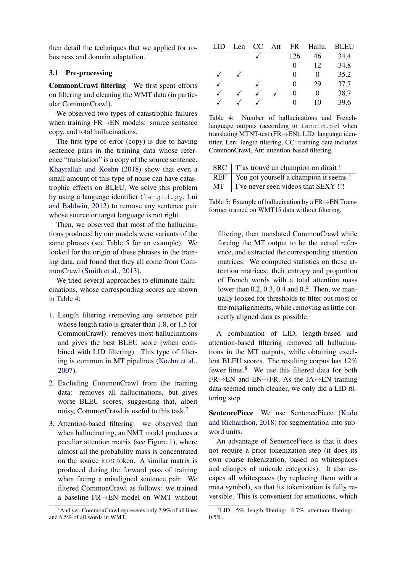then detail the techniques that we applied for robustness and domain adaptation.

## 3.1 Pre-processing

CommonCrawl filtering We first spent efforts on filtering and cleaning the WMT data (in particular CommonCrawl).

We observed two types of catastrophic failures when training FR→EN models: source sentence copy, and total hallucinations.

The first type of error (copy) is due to having sentence pairs in the training data whose reference "translation" is a copy of the source sentence. [Khayrallah and Koehn](#page-6-14) [\(2018\)](#page-6-14) show that even a small amount of this type of noise can have catastrophic effects on BLEU. We solve this problem by using a language identifier (langid.py, [Lui](#page-6-15) [and Baldwin,](#page-6-15) [2012\)](#page-6-15) to remove any sentence pair whose source or target language is not right.

Then, we observed that most of the hallucinations produced by our models were variants of the same phrases (see Table [5](#page-2-0) for an example). We looked for the origin of these phrases in the training data, and found that they all come from CommonCrawl [\(Smith et al.,](#page-6-16) [2013\)](#page-6-16).

We tried several approaches to eliminate hallucinations, whose corresponding scores are shown in Table [4:](#page-2-1)

- 1. Length filtering (removing any sentence pair whose length ratio is greater than 1.8, or 1.5 for CommonCrawl): removes most hallucinations and gives the best BLEU score (when combined with LID filtering). This type of filtering is common in MT pipelines [\(Koehn et al.,](#page-6-17) [2007\)](#page-6-17).
- 2. Excluding CommonCrawl from the training data: removes all hallucinations, but gives worse BLEU scores, suggesting that, albeit noisy, CommonCrawl is useful to this task.[7](#page-0-1)
- 3. Attention-based filtering: we observed that when hallucinating, an NMT model produces a peculiar attention matrix (see Figure [1\)](#page-3-1), where almost all the probability mass is concentrated on the source EOS token. A similar matrix is produced during the forward pass of training when facing a misaligned sentence pair. We filtered CommonCrawl as follows: we trained a baseline FR→EN model on WMT without

<span id="page-2-1"></span>

| LID | Len | CC | Att | FR  | Hallu.            | BLEU |
|-----|-----|----|-----|-----|-------------------|------|
|     |     |    |     | 126 | 46                | 34.4 |
|     |     |    |     |     | 12                | 34.8 |
|     |     |    |     | 0   | $\mathbf{\Omega}$ | 35.2 |
|     |     |    |     | 0   | 29                | 37.7 |
|     |     |    |     |     | 0                 | 38.7 |
|     |     |    |     |     | 10                | 39.6 |

Table 4: Number of hallucinations and Frenchlanguage outputs (according to  $l$ angid.py) when translating MTNT-test (FR→EN). LID: language identifier, Len: length filtering, CC: training data includes CommonCrawl, Att: attention-based filtering.

<span id="page-2-0"></span>

| SRC   T'as trouvé un champion on dirait !    |
|----------------------------------------------|
| REF   You got yourself a champion it seems ! |
| $MT$   I've never seen videos that SEXY !!!  |

Table 5: Example of hallucination by a FR→EN Transformer trained on WMT15 data without filtering.

filtering, then translated CommonCrawl while forcing the MT output to be the actual reference, and extracted the corresponding attention matrices. We computed statistics on these attention matrices: their entropy and proportion of French words with a total attention mass lower than 0.2, 0.3, 0.4 and 0.5. Then, we manually looked for thresholds to filter out most of the misalignments, while removing as little correctly aligned data as possible.

A combination of LID, length-based and attention-based filtering removed all hallucinations in the MT outputs, while obtaining excellent BLEU scores. The resulting corpus has 12% fewer lines.[8](#page-0-1) We use this filtered data for both  $FR \rightarrow EN$  and  $EN \rightarrow FR$ . As the JA $\leftrightarrow EN$  training data seemed much cleaner, we only did a LID filtering step.

SentencePiece We use SentencePiece [\(Kudo](#page-6-18) [and Richardson,](#page-6-18) [2018\)](#page-6-18) for segmentation into subword units.

An advantage of SentencePiece is that it does not require a prior tokenization step (it does its own coarse tokenization, based on whitespaces and changes of unicode categories). It also escapes all whitespaces (by replacing them with a meta symbol), so that its tokenization is fully reversible. This is convenient for emoticons, which

 $7$ And yet, CommonCrawl represents only 7.9% of all lines and 6.5% of all words in WMT.

 ${}^{8}$ LID: -5%, length filtering: -6.7%, attention filtering: -0.5%.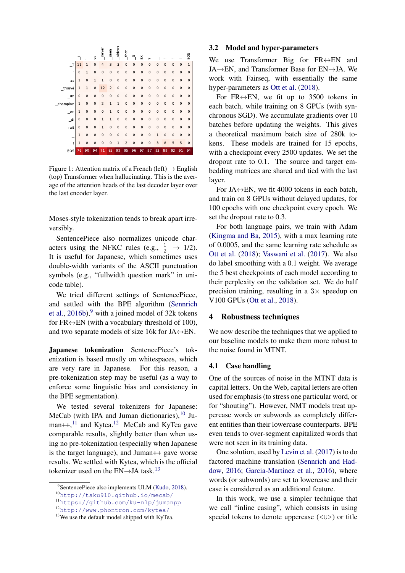<span id="page-3-1"></span>

Figure 1: Attention matrix of a French (left)  $\rightarrow$  English (top) Transformer when hallucinating. This is the average of the attention heads of the last decoder layer over the last encoder layer.

Moses-style tokenization tends to break apart irreversibly.

SentencePiece also normalizes unicode characters using the NFKC rules (e.g.,  $\frac{1}{2} \rightarrow 1/2$ ). It is useful for Japanese, which sometimes uses double-width variants of the ASCII punctuation symbols (e.g., "fullwidth question mark" in unicode table).

We tried different settings of SentencePiece, and settled with the BPE algorithm [\(Sennrich](#page-6-19) [et al.,](#page-6-19)  $2016b$ , with a joined model of 32k tokens for FR $\leftrightarrow$ EN (with a vocabulary threshold of 100), and two separate models of size 16k for JA $\leftrightarrow$ EN.

Japanese tokenization SentencePiece's tokenization is based mostly on whitespaces, which are very rare in Japanese. For this reason, a pre-tokenization step may be useful (as a way to enforce some linguistic bias and consistency in the BPE segmentation).

We tested several tokenizers for Japanese: MeCab (with IPA and Juman dictionaries), $10$  Juman++, $^{11}$  $^{11}$  $^{11}$  and Kytea.<sup>[12](#page-0-1)</sup> MeCab and KyTea gave comparable results, slightly better than when using no pre-tokenization (especially when Japanese is the target language), and Juman++ gave worse results. We settled with Kytea, which is the official tokenizer used on the  $EN\rightarrow JA$  task.<sup>[13](#page-0-1)</sup>

#### 3.2 Model and hyper-parameters

We use Transformer Big for  $FR \leftrightarrow EN$  and JA→EN, and Transformer Base for EN→JA. We work with Fairseq, with essentially the same hyper-parameters as [Ott et al.](#page-6-21) [\(2018\)](#page-6-21).

For FR $\leftrightarrow$ EN, we fit up to 3500 tokens in each batch, while training on 8 GPUs (with synchronous SGD). We accumulate gradients over 10 batches before updating the weights. This gives a theoretical maximum batch size of 280k tokens. These models are trained for 15 epochs, with a checkpoint every 2500 updates. We set the dropout rate to 0.1. The source and target embedding matrices are shared and tied with the last layer.

For JA $\leftrightarrow$ EN, we fit 4000 tokens in each batch, and train on 8 GPUs without delayed updates, for 100 epochs with one checkpoint every epoch. We set the dropout rate to 0.3.

For both language pairs, we train with Adam [\(Kingma and Ba,](#page-6-22) [2015\)](#page-6-22), with a max learning rate of 0.0005, and the same learning rate schedule as [Ott et al.](#page-6-21) [\(2018\)](#page-6-21); [Vaswani et al.](#page-6-0) [\(2017\)](#page-6-0). We also do label smoothing with a 0.1 weight. We average the 5 best checkpoints of each model according to their perplexity on the validation set. We do half precision training, resulting in a  $3\times$  speedup on V100 GPUs [\(Ott et al.,](#page-6-21) [2018\)](#page-6-21).

### <span id="page-3-0"></span>4 Robustness techniques

We now describe the techniques that we applied to our baseline models to make them more robust to the noise found in MTNT.

#### 4.1 Case handling

One of the sources of noise in the MTNT data is capital letters. On the Web, capital letters are often used for emphasis (to stress one particular word, or for "shouting"). However, NMT models treat uppercase words or subwords as completely different entities than their lowercase counterparts. BPE even tends to over-segment capitalized words that were not seen in its training data.

One solution, used by [Levin et al.](#page-6-23) [\(2017\)](#page-6-23) is to do factored machine translation [\(Sennrich and Had](#page-6-24)[dow,](#page-6-24) [2016;](#page-6-24) [Garcia-Martinez et al.,](#page-6-25) [2016\)](#page-6-25), where words (or subwords) are set to lowercase and their case is considered as an additional feature.

In this work, we use a simpler technique that we call "inline casing", which consists in using special tokens to denote uppercase  $(\langle U \rangle)$  or title

<sup>&</sup>lt;sup>9</sup>SentencePiece also implements ULM [\(Kudo,](#page-6-20) [2018\)](#page-6-20).

<sup>10</sup><http://taku910.github.io/mecab/>

<sup>11</sup><https://github.com/ku-nlp/jumanpp>

<sup>12</sup><http://www.phontron.com/kytea/>

<sup>&</sup>lt;sup>13</sup>We use the default model shipped with KyTea.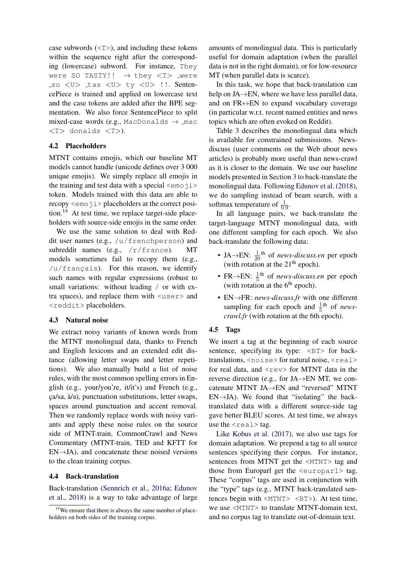case subwords  $(\langle T \rangle)$ , and including these tokens within the sequence right after the corresponding (lowercase) subword. For instance, They were SO TASTY!!  $\rightarrow$  they  $\langle T \rangle$  were so <U> tas <U> ty <U> !!. SentencePiece is trained and applied on lowercase text and the case tokens are added after the BPE segmentation. We also force SentencePiece to split mixed-case words (e.g., MacDonalds  $\rightarrow$  mac <T> donalds <T>).

## 4.2 Placeholders

MTNT contains emojis, which our baseline MT models cannot handle (unicode defines over 3 000 unique emojis). We simply replace all emojis in the training and test data with a special  $\leq$ emo $\exists$ i> token. Models trained with this data are able to recopy  $\le$ emoji > placeholders at the correct posi-tion.<sup>[14](#page-0-1)</sup> At test time, we replace target-side placeholders with source-side emojis in the same order.

We use the same solution to deal with Reddit user names (e.g., /u/frenchperson) and subreddit names (e.g.,  $/r/f$ rance). MT models sometimes fail to recopy them (e.g.,  $/u/f$  rançais). For this reason, we identify such names with regular expressions (robust to small variations: without leading / or with extra spaces), and replace them with <user> and <reddit> placeholders.

## 4.3 Natural noise

We extract noisy variants of known words from the MTNT monolingual data, thanks to French and English lexicons and an extended edit distance (allowing letter swaps and letter repetitions). We also manually build a list of noise rules, with the most common spelling errors in English (e.g., your/you're, it/it's) and French (e.g.,  $ca/sa$ ,  $\grave{a}/a$ ), punctuation substitutions, letter swaps, spaces around punctuation and accent removal. Then we randomly replace words with noisy variants and apply these noise rules on the source side of MTNT-train, CommonCrawl and News Commentary (MTNT-train, TED and KFTT for  $EN \rightarrow JA$ ), and concatenate these noised versions to the clean training corpus.

## 4.4 Back-translation

Back-translation [\(Sennrich et al.,](#page-6-26) [2016a;](#page-6-26) [Edunov](#page-6-1) [et al.,](#page-6-1) [2018\)](#page-6-1) is a way to take advantage of large

amounts of monolingual data. This is particularly useful for domain adaptation (when the parallel data is not in the right domain), or for low-resource MT (when parallel data is scarce).

In this task, we hope that back-translation can help on JA→EN, where we have less parallel data, and on  $FR \leftrightarrow EN$  to expand vocabulary coverage (in particular w.r.t. recent named entities and news topics which are often evoked on Reddit).

Table [3](#page-1-2) describes the monolingual data which is available for constrained submissions. Newsdiscuss (user comments on the Web about news articles) is probably more useful than news-crawl as it is closer to the domain. We use our baseline models presented in Section [3](#page-1-0) to back-translate the monolingual data. Following [Edunov et al.](#page-6-1) [\(2018\)](#page-6-1), we do sampling instead of beam search, with a softmax temperature of  $\frac{1}{0.9}$ .

In all language pairs, we back-translate the target-language MTNT monolingual data, with one different sampling for each epoch. We also back-translate the following data:

- JA $\rightarrow$ EN:  $\frac{1}{20}$ <sup>th</sup> of *news-discuss.en* per epoch (with rotation at the  $21<sup>th</sup>$  epoch).
- FR $\rightarrow$ EN:  $\frac{1}{5}$ <sup>th</sup> of *news-discuss.en* per epoch (with rotation at the  $6<sup>th</sup>$  epoch).
- EN→FR: *news-discuss.fr* with one different sampling for each epoch and  $\frac{1}{5}$ <sup>th</sup> of *newscrawl.fr* (with rotation at the 6th epoch).

## 4.5 Tags

We insert a tag at the beginning of each source sentence, specifying its type:  $\langle BT \rangle$  for backtranslations, <noise> for natural noise, <real> for real data, and  $\langle$ rev $>$  for MTNT data in the reverse direction (e.g., for JA→EN MT, we concatenate MTNT JA→EN and "reversed" MTNT  $EN \rightarrow JA$ ). We found that "isolating" the backtranslated data with a different source-side tag gave better BLEU scores. At test time, we always use the  $\le$ real  $>$  tag.

Like [Kobus et al.](#page-6-27) [\(2017\)](#page-6-27), we also use tags for domain adaptation. We prepend a tag to all source sentences specifying their corpus. For instance, sentences from MTNT get the  $\langle$ MTNT> tag and those from Europarl get the  $\le$ europarl $>$  tag. These "corpus" tags are used in conjunction with the "type" tags (e.g., MTNT back-translated sentences begin with  $\langle \text{MTNT} \rangle$   $\langle \text{BT} \rangle$ ). At test time, we use <MTNT> to translate MTNT-domain text, and no corpus tag to translate out-of-domain text.

 $14$ We ensure that there is always the same number of placeholders on both sides of the training corpus.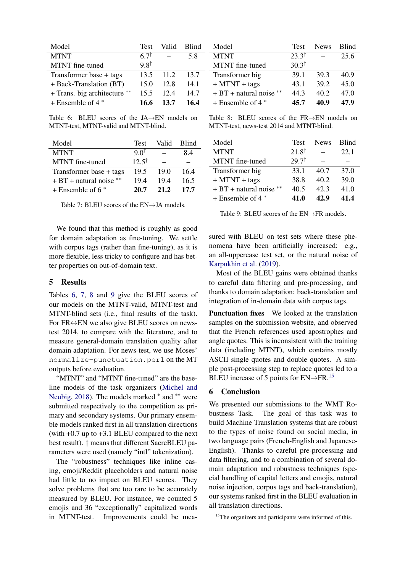<span id="page-5-1"></span>

| Model                        | Test            | Valid | <b>Blind</b> |
|------------------------------|-----------------|-------|--------------|
| <b>MTNT</b>                  | 67 <sup>†</sup> |       | 5.8          |
| MTNT fine-tuned              | $9.8^{\dagger}$ |       |              |
| Transformer base + tags      | 13.5            | 11.2  | 13.7         |
| + Back-Translation (BT)      | 15.0            | 12.8  | 14.1         |
| + Trans. big architecture ** | 15.5            | 12.4  | 14.7         |
| $+$ Ensemble of 4 $*$        | 16.6            | 13.7  | 16.4         |

<span id="page-5-3"></span>Model Test News Blind MTNT  $23.3^{\dagger}$  – 25.6 MTNT fine-tuned  $30.3^{\dagger}$  – – Transformer big 39.1 39.3 40.9 + MTNT + tags 43.1 39.2 45.0 + BT + natural noise ∗∗ 44.3 40.2 47.0 + Ensemble of 4 <sup>∗</sup> 45.7 40.9 47.9

Table 6: BLEU scores of the JA→EN models on MTNT-test, MTNT-valid and MTNT-blind.

<span id="page-5-2"></span>

| Model                     | Test             | Valid | <b>Blind</b> |
|---------------------------|------------------|-------|--------------|
| <b>MTNT</b>               | 9.0 <sup>†</sup> |       | 84           |
| MTNT fine-tuned           | $12.5^{\dagger}$ |       |              |
| Transformer base + tags   | 19.5             | 19.0  | 164          |
| $+ BT + natural noise$ ** | 194              | 194   | 16.5         |
| $+$ Ensemble of 6 $*$     | 20.7             | 21.2  | 17.7         |

Table 7: BLEU scores of the EN→JA models.

We found that this method is roughly as good for domain adaptation as fine-tuning. We settle with corpus tags (rather than fine-tuning), as it is more flexible, less tricky to configure and has better properties on out-of-domain text.

## <span id="page-5-0"></span>5 Results

Tables [6,](#page-5-1) [7,](#page-5-2) [8](#page-5-3) and [9](#page-5-4) give the BLEU scores of our models on the MTNT-valid, MTNT-test and MTNT-blind sets (i.e., final results of the task). For  $FR \leftrightarrow EN$  we also give BLEU scores on newstest 2014, to compare with the literature, and to measure general-domain translation quality after domain adaptation. For news-test, we use Moses' normalize-punctuation.perl on the MT outputs before evaluation.

"MTNT" and "MTNT fine-tuned" are the baseline models of the task organizers [\(Michel and](#page-6-8) [Neubig,](#page-6-8) [2018\)](#page-6-8). The models marked \* and \*\* were submitted respectively to the competition as primary and secondary systems. Our primary ensemble models ranked first in all translation directions (with  $+0.7$  up to  $+3.1$  BLEU compared to the next best result). † means that different SacreBLEU parameters were used (namely "intl" tokenization).

The "robustness" techniques like inline casing, emoji/Reddit placeholders and natural noise had little to no impact on BLEU scores. They solve problems that are too rare to be accurately measured by BLEU. For instance, we counted 5 emojis and 36 "exceptionally" capitalized words in MTNT-test. Improvements could be mea-

Table 8: BLEU scores of the FR→EN models on MTNT-test, news-test 2014 and MTNT-blind.

<span id="page-5-4"></span>

| Model                  | Test             | <b>News</b> | <b>Blind</b> |
|------------------------|------------------|-------------|--------------|
| <b>MTNT</b>            | $21.8^{\dagger}$ |             | 22.1         |
| MTNT fine-tuned        | $29.7^{\dagger}$ |             |              |
| Transformer big        | 33.1             | 40.7        | 37.0         |
| $+$ MTNT + tags        | 38.8             | 40.2        | 39.0         |
| $+ BT + natural noise$ | 40.5             | 42.3        | 41.0         |
| $+$ Ensemble of 4 $*$  | 41.0             | 42.9        | 41.4         |

Table 9: BLEU scores of the EN→FR models.

sured with BLEU on test sets where these phenomena have been artificially increased: e.g., an all-uppercase test set, or the natural noise of [Karpukhin et al.](#page-6-7) [\(2019\)](#page-6-7).

Most of the BLEU gains were obtained thanks to careful data filtering and pre-processing, and thanks to domain adaptation: back-translation and integration of in-domain data with corpus tags.

Punctuation fixes We looked at the translation samples on the submission website, and observed that the French references used apostrophes and angle quotes. This is inconsistent with the training data (including MTNT), which contains mostly ASCII single quotes and double quotes. A simple post-processing step to replace quotes led to a BLEU increase of 5 points for  $EN \rightarrow FR$ .<sup>[15](#page-0-1)</sup>

## 6 Conclusion

We presented our submissions to the WMT Robustness Task. The goal of this task was to build Machine Translation systems that are robust to the types of noise found on social media, in two language pairs (French-English and Japanese-English). Thanks to careful pre-processing and data filtering, and to a combination of several domain adaptation and robustness techniques (special handling of capital letters and emojis, natural noise injection, corpus tags and back-translation), our systems ranked first in the BLEU evaluation in all translation directions.

<sup>&</sup>lt;sup>15</sup>The organizers and participants were informed of this.